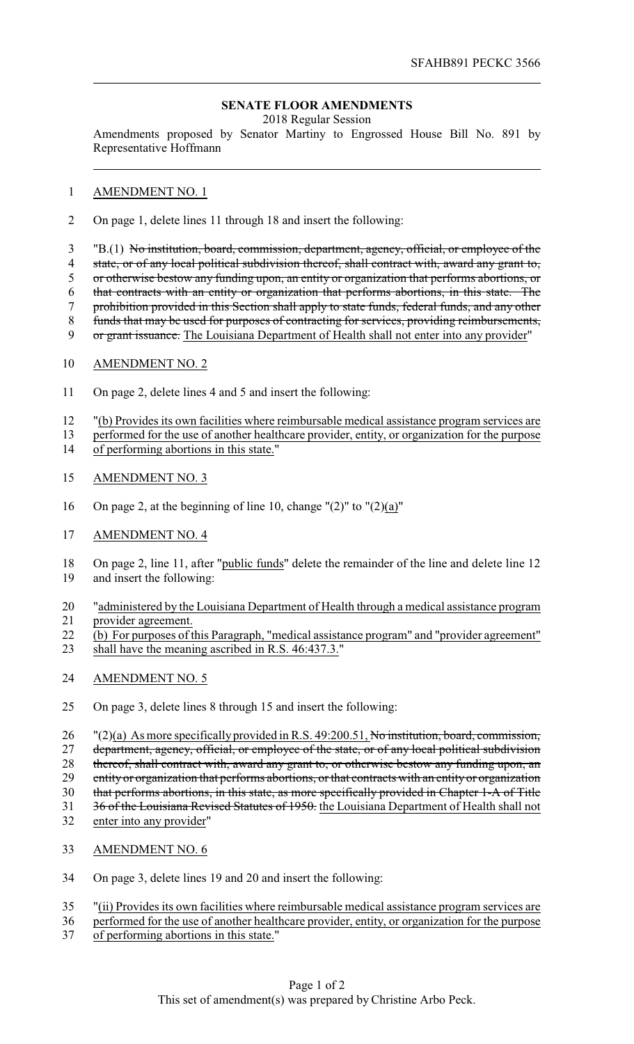## **SENATE FLOOR AMENDMENTS**

2018 Regular Session

Amendments proposed by Senator Martiny to Engrossed House Bill No. 891 by Representative Hoffmann

## 1 AMENDMENT NO. 1

- 2 On page 1, delete lines 11 through 18 and insert the following:
- 3 "B.(1) No institution, board, commission, department, agency, official, or employee of the
- 4 state, or of any local political subdivision thereof, shall contract with, award any grant to,
- 5 or otherwise bestow any funding upon, an entity or organization that performs abortions, or
- 6 that contracts with an entity or organization that performs abortions, in this state. The
- 7 prohibition provided in this Section shall apply to state funds, federal funds, and any other
- 8 funds that may be used for purposes of contracting for services, providing reimbursements,
- 9 or grant issuance. The Louisiana Department of Health shall not enter into any provider"
- 10 AMENDMENT NO. 2
- 11 On page 2, delete lines 4 and 5 and insert the following:
- 12 "(b) Provides its own facilities where reimbursable medical assistance program services are
- 13 performed for the use of another healthcare provider, entity, or organization for the purpose
- 14 of performing abortions in this state."
- 15 AMENDMENT NO. 3
- 16 On page 2, at the beginning of line 10, change  $"(2)"$  to  $"(2)(a)"$
- 17 AMENDMENT NO. 4
- 18 On page 2, line 11, after "public funds" delete the remainder of the line and delete line 12 19 and insert the following:
- 20 "administered by the Louisiana Department of Health through a medical assistance program
- 21 provider agreement.
- 22 (b) For purposes of this Paragraph, "medical assistance program" and "provider agreement" 23 shall have the meaning ascribed in R.S. 46:437.3."
- 24 AMENDMENT NO. 5
- 25 On page 3, delete lines 8 through 15 and insert the following:
- 26  $\frac{1}{2}$  (2)(a) As more specifically provided in R.S. 49:200.51, No institution, board, commission,

27 department, agency, official, or employee of the state, or of any local political subdivision

28 thereof, shall contract with, award any grant to, or otherwise bestow any funding upon, an

- 29 entity or organization that performs abortions, or that contracts with an entity or organization
- 30 that performs abortions, in this state, as more specifically provided in Chapter 1-A of Title
- 31 36 of the Louisiana Revised Statutes of 1950. the Louisiana Department of Health shall not
- 32 enter into any provider"
- 33 AMENDMENT NO. 6
- 34 On page 3, delete lines 19 and 20 and insert the following:
- 35 "(ii) Provides its own facilities where reimbursable medical assistance program services are
- 36 performed for the use of another healthcare provider, entity, or organization for the purpose
- 37 of performing abortions in this state."